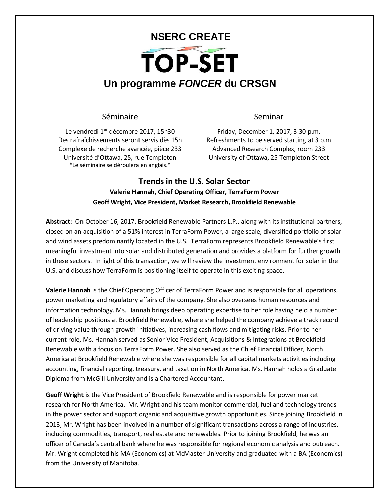## **NSERC CREATE** TOP-SET **Un programme** *FONCER* **du CRSGN**

## Séminaire **Seminar**

Le vendredi 1<sup>er</sup> décembre 2017, 15h30 Des rafraîchissements seront servis dès 15h Complexe de recherche avancée, pièce 233 Université d'Ottawa, 25, rue Templeton \*Le séminaire se déroulera en anglais.\*

Friday, December 1, 2017, 3:30 p.m. Refreshments to be served starting at 3 p.m Advanced Research Complex, room 233 University of Ottawa, 25 Templeton Street

## **Trends in the U.S. Solar Sector Valerie Hannah, Chief Operating Officer, TerraForm Power Geoff Wright, Vice President, Market Research, Brookfield Renewable**

**Abstract:** On October 16, 2017, Brookfield Renewable Partners L.P., along with its institutional partners, closed on an acquisition of a 51% interest in TerraForm Power, a large scale, diversified portfolio of solar and wind assets predominantly located in the U.S. TerraForm represents Brookfield Renewable's first meaningful investment into solar and distributed generation and provides a platform for further growth in these sectors. In light of this transaction, we will review the investment environment for solar in the U.S. and discuss how TerraForm is positioning itself to operate in this exciting space.

**Valerie Hannah** is the Chief Operating Officer of TerraForm Power and is responsible for all operations, power marketing and regulatory affairs of the company. She also oversees human resources and information technology. Ms. Hannah brings deep operating expertise to her role having held a number of leadership positions at Brookfield Renewable, where she helped the company achieve a track record of driving value through growth initiatives, increasing cash flows and mitigating risks. Prior to her current role, Ms. Hannah served as Senior Vice President, Acquisitions & Integrations at Brookfield Renewable with a focus on TerraForm Power. She also served as the Chief Financial Officer, North America at Brookfield Renewable where she was responsible for all capital markets activities including accounting, financial reporting, treasury, and taxation in North America. Ms. Hannah holds a Graduate Diploma from McGill University and is a Chartered Accountant.

**Geoff Wright** is the Vice President of Brookfield Renewable and is responsible for power market research for North America. Mr. Wright and his team monitor commercial, fuel and technology trends in the power sector and support organic and acquisitive growth opportunities. Since joining Brookfield in 2013, Mr. Wright has been involved in a number of significant transactions across a range of industries, including commodities, transport, real estate and renewables. Prior to joining Brookfield, he was an officer of Canada's central bank where he was responsible for regional economic analysis and outreach. Mr. Wright completed his MA (Economics) at McMaster University and graduated with a BA (Economics) from the University of Manitoba.